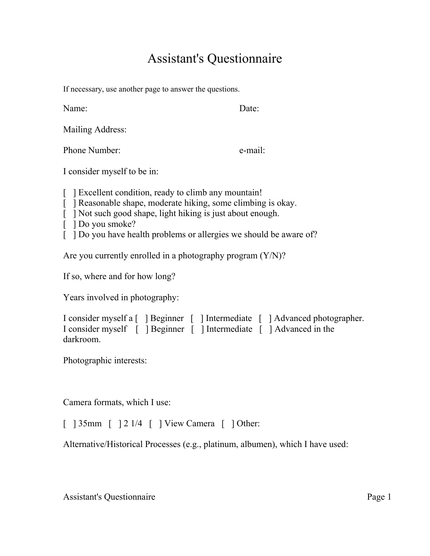## Assistant's Questionnaire

If necessary, use another page to answer the questions.

Name: Date:

Mailing Address:

Phone Number: e-mail:

I consider myself to be in:

[ ] Excellent condition, ready to climb any mountain!

- [ ] Reasonable shape, moderate hiking, some climbing is okay.
- [ ] Not such good shape, light hiking is just about enough.
- [ ] Do you smoke?
- [ ] Do you have health problems or allergies we should be aware of?

Are you currently enrolled in a photography program (Y/N)?

If so, where and for how long?

Years involved in photography:

```
I consider myself a [ ] Beginner [ ] Intermediate [ ] Advanced photographer. 
I consider myself [ ] Beginner [ ] Intermediate [ ] Advanced in the 
darkroom.
```
Photographic interests:

Camera formats, which I use:

[ ] 35mm [ ] 2 1/4 [ ] View Camera [ ] Other:

Alternative/Historical Processes (e.g., platinum, albumen), which I have used:

Assistant's Questionnaire Page 1